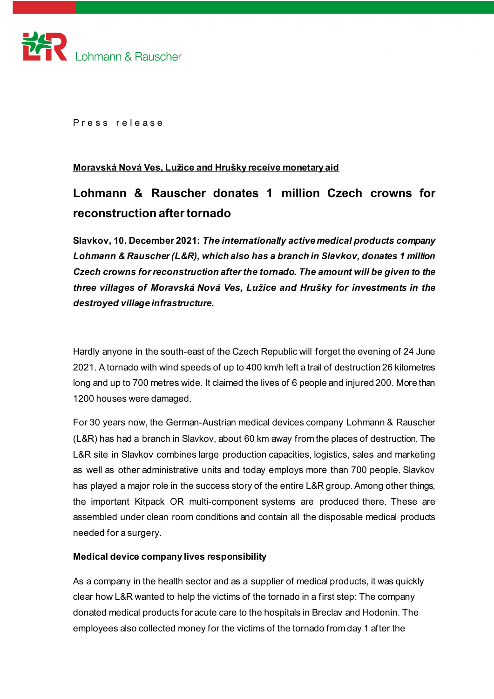

Press release

## **Moravská Nová Ves, Lužice and Hrušky receive monetary aid**

# **Lohmann & Rauscher donates 1 million Czech crowns for reconstruction after tornado**

**Slavkov, 10. December 2021:** *The internationally active medical products company Lohmann & Rauscher (L&R), which also has a branch in Slavkov, donates 1 million Czech crowns for reconstruction after the tornado. The amount will be given to the three villages of Moravská Nová Ves, Lužice and Hrušky for investments in the destroyed village infrastructure.* 

Hardly anyone in the south-east of the Czech Republic will forget the evening of 24 June 2021. A tornado with wind speeds of up to 400 km/h left a trail of destruction 26 kilometres long and up to 700 metres wide. It claimed the lives of 6 people and injured 200. More than 1200 houses were damaged.

For 30 years now, the German-Austrian medical devices company Lohmann & Rauscher (L&R) has had a branch in Slavkov, about 60 km away from the places of destruction. The L&R site in Slavkov combines large production capacities, logistics, sales and marketing as well as other administrative units and today employs more than 700 people. Slavkov has played a major role in the success story of the entire L&R group. Among other things, the important Kitpack OR multi-component systems are produced there. These are assembled under clean room conditions and contain all the disposable medical products needed for a surgery.

#### **Medical device company lives responsibility**

As a company in the health sector and as a supplier of medical products, it was quickly clear how L&R wanted to help the victims of the tornado in a first step: The company donated medical products for acute care to the hospitals in Breclav and Hodonin. The employees also collected money for the victims of the tornado from day 1 after the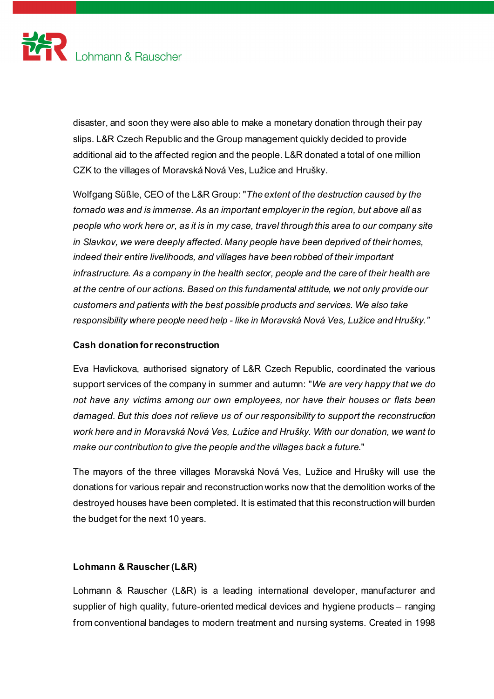

disaster, and soon they were also able to make a monetary donation through their pay slips. L&R Czech Republic and the Group management quickly decided to provide additional aid to the affected region and the people. L&R donated a total of one million CZK to the villages of Moravská Nová Ves, Lužice and Hrušky.

Wolfgang Süßle, CEO of the L&R Group: "*The extent of the destruction caused by the tornado was and is immense. As an important employer in the region, but above all as people who work here or, as it is in my case, travel through this area to our company site in Slavkov, we were deeply affected. Many people have been deprived of their homes, indeed their entire livelihoods, and villages have been robbed of their important infrastructure. As a company in the health sector, people and the care of their health are at the centre of our actions. Based on this fundamental attitude, we not only provide our customers and patients with the best possible products and services. We also take responsibility where people need help - like in Moravská Nová Ves, Lužice and Hrušky."*

## **Cash donation for reconstruction**

Eva Havlickova, authorised signatory of L&R Czech Republic, coordinated the various support services of the company in summer and autumn: "*We are very happy that we do not have any victims among our own employees, nor have their houses or flats been damaged. But this does not relieve us of our responsibility to support the reconstruction work here and in Moravská Nová Ves, Lužice and Hrušky. With our donation, we want to make our contribution to give the people and the villages back a future*."

The mayors of the three villages Moravská Nová Ves, Lužice and Hrušky will use the donations for various repair and reconstruction works now that the demolition works of the destroyed houses have been completed. It is estimated that this reconstruction will burden the budget for the next 10 years.

## **Lohmann & Rauscher(L&R)**

Lohmann & Rauscher (L&R) is a leading international developer, manufacturer and supplier of high quality, future-oriented medical devices and hygiene products – ranging from conventional bandages to modern treatment and nursing systems. Created in 1998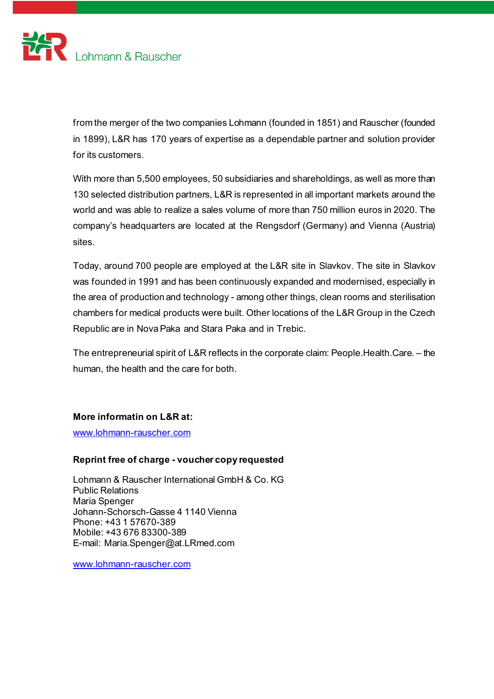

from the merger of the two companies Lohmann (founded in 1851) and Rauscher (founded in 1899), L&R has 170 years of expertise as a dependable partner and solution provider for its customers.

With more than 5,500 employees, 50 subsidiaries and shareholdings, as well as more than 130 selected distribution partners, L&R is represented in all important markets around the world and was able to realize a sales volume of more than 750 million euros in 2020. The company's headquarters are located at the Rengsdorf (Germany) and Vienna (Austria) sites.

Today, around 700 people are employed at the L&R site in Slavkov. The site in Slavkov was founded in 1991 and has been continuously expanded and modernised, especially in the area of production and technology - among other things, clean rooms and sterilisation chambers for medical products were built. Other locations of the L&R Group in the Czech Republic are in Nova Paka and Stara Paka and in Trebic.

The entrepreneurial spirit of L&R reflects in the corporate claim: People.Health.Care. – the human, the health and the care for both.

#### **More informatin on L&R at:**

[www.lohmann-rauscher.com](http://www.lohmann-rauscher.com/)

## **Reprint free of charge - voucher copy requested**

Lohmann & Rauscher International GmbH & Co. KG Public Relations Maria Spenger Johann-Schorsch-Gasse 4 1140 Vienna Phone: +43 1 57670-389 Mobile: +43 676 83300-389 E-mail: Maria.Spenger@at.LRmed.com

[www.lohmann-rauscher.com](http://www.lohmann-rauscher.com/)